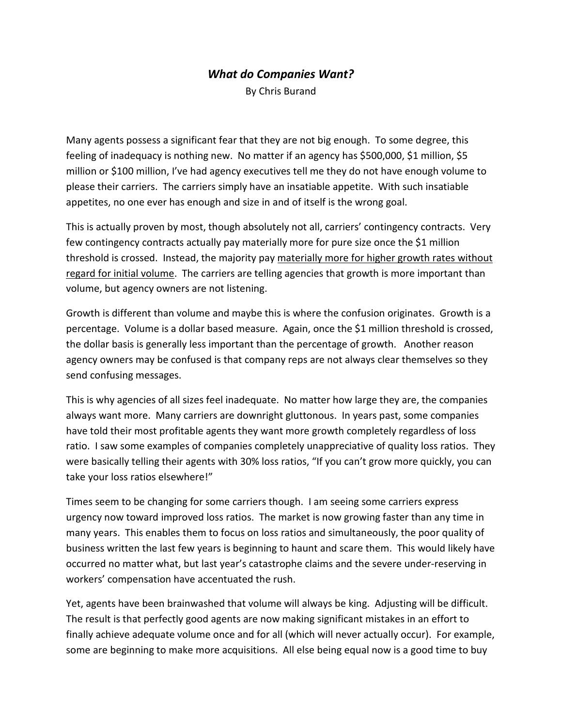## *What do Companies Want?*

By Chris Burand

Many agents possess a significant fear that they are not big enough. To some degree, this feeling of inadequacy is nothing new. No matter if an agency has \$500,000, \$1 million, \$5 million or \$100 million, I've had agency executives tell me they do not have enough volume to please their carriers. The carriers simply have an insatiable appetite. With such insatiable appetites, no one ever has enough and size in and of itself is the wrong goal.

This is actually proven by most, though absolutely not all, carriers' contingency contracts. Very few contingency contracts actually pay materially more for pure size once the \$1 million threshold is crossed. Instead, the majority pay materially more for higher growth rates without regard for initial volume. The carriers are telling agencies that growth is more important than volume, but agency owners are not listening.

Growth is different than volume and maybe this is where the confusion originates. Growth is a percentage. Volume is a dollar based measure. Again, once the \$1 million threshold is crossed, the dollar basis is generally less important than the percentage of growth. Another reason agency owners may be confused is that company reps are not always clear themselves so they send confusing messages.

This is why agencies of all sizes feel inadequate. No matter how large they are, the companies always want more. Many carriers are downright gluttonous. In years past, some companies have told their most profitable agents they want more growth completely regardless of loss ratio. I saw some examples of companies completely unappreciative of quality loss ratios. They were basically telling their agents with 30% loss ratios, "If you can't grow more quickly, you can take your loss ratios elsewhere!"

Times seem to be changing for some carriers though. I am seeing some carriers express urgency now toward improved loss ratios. The market is now growing faster than any time in many years. This enables them to focus on loss ratios and simultaneously, the poor quality of business written the last few years is beginning to haunt and scare them. This would likely have occurred no matter what, but last year's catastrophe claims and the severe under-reserving in workers' compensation have accentuated the rush.

Yet, agents have been brainwashed that volume will always be king. Adjusting will be difficult. The result is that perfectly good agents are now making significant mistakes in an effort to finally achieve adequate volume once and for all (which will never actually occur). For example, some are beginning to make more acquisitions. All else being equal now is a good time to buy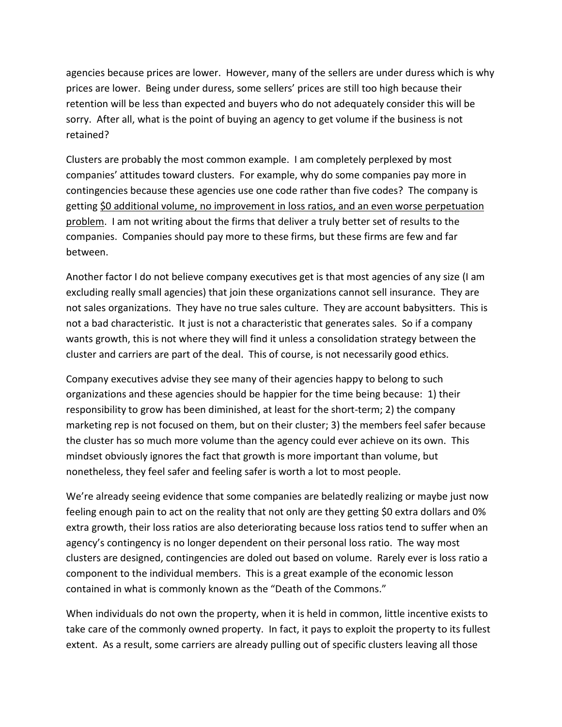agencies because prices are lower. However, many of the sellers are under duress which is why prices are lower. Being under duress, some sellers' prices are still too high because their retention will be less than expected and buyers who do not adequately consider this will be sorry. After all, what is the point of buying an agency to get volume if the business is not retained?

Clusters are probably the most common example. I am completely perplexed by most companies' attitudes toward clusters. For example, why do some companies pay more in contingencies because these agencies use one code rather than five codes? The company is getting \$0 additional volume, no improvement in loss ratios, and an even worse perpetuation problem. I am not writing about the firms that deliver a truly better set of results to the companies. Companies should pay more to these firms, but these firms are few and far between.

Another factor I do not believe company executives get is that most agencies of any size (I am excluding really small agencies) that join these organizations cannot sell insurance. They are not sales organizations. They have no true sales culture. They are account babysitters. This is not a bad characteristic. It just is not a characteristic that generates sales. So if a company wants growth, this is not where they will find it unless a consolidation strategy between the cluster and carriers are part of the deal. This of course, is not necessarily good ethics.

Company executives advise they see many of their agencies happy to belong to such organizations and these agencies should be happier for the time being because: 1) their responsibility to grow has been diminished, at least for the short-term; 2) the company marketing rep is not focused on them, but on their cluster; 3) the members feel safer because the cluster has so much more volume than the agency could ever achieve on its own. This mindset obviously ignores the fact that growth is more important than volume, but nonetheless, they feel safer and feeling safer is worth a lot to most people.

We're already seeing evidence that some companies are belatedly realizing or maybe just now feeling enough pain to act on the reality that not only are they getting \$0 extra dollars and 0% extra growth, their loss ratios are also deteriorating because loss ratios tend to suffer when an agency's contingency is no longer dependent on their personal loss ratio. The way most clusters are designed, contingencies are doled out based on volume. Rarely ever is loss ratio a component to the individual members. This is a great example of the economic lesson contained in what is commonly known as the "Death of the Commons."

When individuals do not own the property, when it is held in common, little incentive exists to take care of the commonly owned property. In fact, it pays to exploit the property to its fullest extent. As a result, some carriers are already pulling out of specific clusters leaving all those